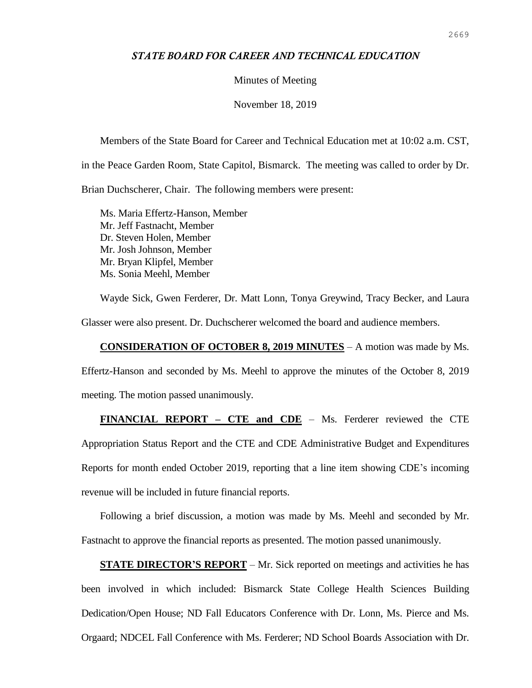## *STATE BOARD FOR CAREER AND TECHNICAL EDUCATION*

## Minutes of Meeting

November 18, 2019

Members of the State Board for Career and Technical Education met at 10:02 a.m. CST, in the Peace Garden Room, State Capitol, Bismarck. The meeting was called to order by Dr. Brian Duchscherer, Chair. The following members were present:

Ms. Maria Effertz-Hanson, Member Mr. Jeff Fastnacht, Member Dr. Steven Holen, Member Mr. Josh Johnson, Member Mr. Bryan Klipfel, Member Ms. Sonia Meehl, Member

Wayde Sick, Gwen Ferderer, Dr. Matt Lonn, Tonya Greywind, Tracy Becker, and Laura Glasser were also present. Dr. Duchscherer welcomed the board and audience members.

## **CONSIDERATION OF OCTOBER 8, 2019 MINUTES** – A motion was made by Ms.

Effertz-Hanson and seconded by Ms. Meehl to approve the minutes of the October 8, 2019 meeting. The motion passed unanimously.

**FINANCIAL REPORT – CTE and CDE** – Ms. Ferderer reviewed the CTE Appropriation Status Report and the CTE and CDE Administrative Budget and Expenditures Reports for month ended October 2019, reporting that a line item showing CDE's incoming revenue will be included in future financial reports.

Following a brief discussion, a motion was made by Ms. Meehl and seconded by Mr. Fastnacht to approve the financial reports as presented. The motion passed unanimously.

**STATE DIRECTOR'S REPORT** – Mr. Sick reported on meetings and activities he has been involved in which included: Bismarck State College Health Sciences Building Dedication/Open House; ND Fall Educators Conference with Dr. Lonn, Ms. Pierce and Ms. Orgaard; NDCEL Fall Conference with Ms. Ferderer; ND School Boards Association with Dr.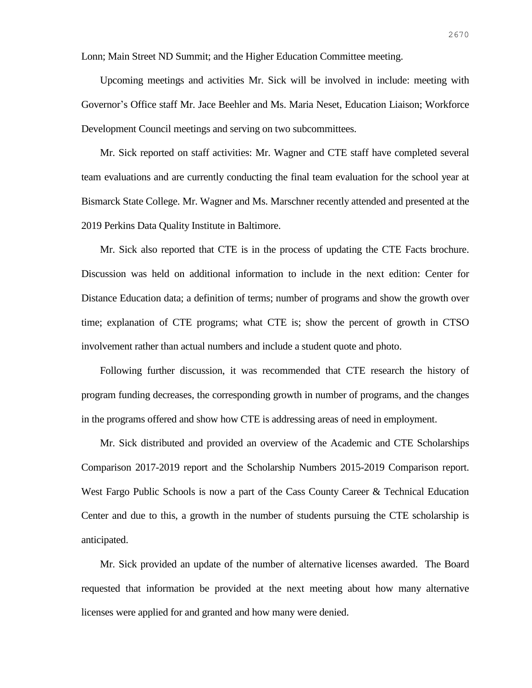Lonn; Main Street ND Summit; and the Higher Education Committee meeting.

Upcoming meetings and activities Mr. Sick will be involved in include: meeting with Governor's Office staff Mr. Jace Beehler and Ms. Maria Neset, Education Liaison; Workforce Development Council meetings and serving on two subcommittees.

Mr. Sick reported on staff activities: Mr. Wagner and CTE staff have completed several team evaluations and are currently conducting the final team evaluation for the school year at Bismarck State College. Mr. Wagner and Ms. Marschner recently attended and presented at the 2019 Perkins Data Quality Institute in Baltimore.

Mr. Sick also reported that CTE is in the process of updating the CTE Facts brochure. Discussion was held on additional information to include in the next edition: Center for Distance Education data; a definition of terms; number of programs and show the growth over time; explanation of CTE programs; what CTE is; show the percent of growth in CTSO involvement rather than actual numbers and include a student quote and photo.

Following further discussion, it was recommended that CTE research the history of program funding decreases, the corresponding growth in number of programs, and the changes in the programs offered and show how CTE is addressing areas of need in employment.

Mr. Sick distributed and provided an overview of the Academic and CTE Scholarships Comparison 2017-2019 report and the Scholarship Numbers 2015-2019 Comparison report. West Fargo Public Schools is now a part of the Cass County Career & Technical Education Center and due to this, a growth in the number of students pursuing the CTE scholarship is anticipated.

Mr. Sick provided an update of the number of alternative licenses awarded. The Board requested that information be provided at the next meeting about how many alternative licenses were applied for and granted and how many were denied.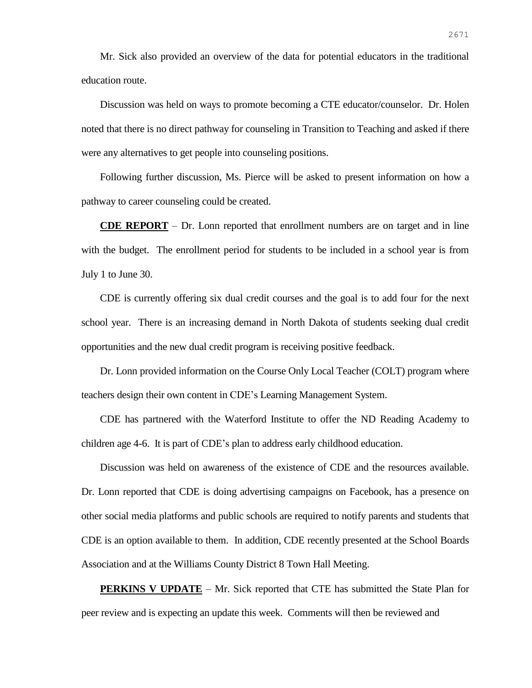Mr. Sick also provided an overview of the data for potential educators in the traditional education route.

Discussion was held on ways to promote becoming a CTE educator/counselor. Dr. Holen noted that there is no direct pathway for counseling in Transition to Teaching and asked if there were any alternatives to get people into counseling positions.

Following further discussion, Ms. Pierce will be asked to present information on how a pathway to career counseling could be created.

**CDE REPORT** – Dr. Lonn reported that enrollment numbers are on target and in line with the budget. The enrollment period for students to be included in a school year is from July 1 to June 30.

CDE is currently offering six dual credit courses and the goal is to add four for the next school year. There is an increasing demand in North Dakota of students seeking dual credit opportunities and the new dual credit program is receiving positive feedback.

Dr. Lonn provided information on the Course Only Local Teacher (COLT) program where teachers design their own content in CDE's Learning Management System.

CDE has partnered with the Waterford Institute to offer the ND Reading Academy to children age 4-6. It is part of CDE's plan to address early childhood education.

Discussion was held on awareness of the existence of CDE and the resources available. Dr. Lonn reported that CDE is doing advertising campaigns on Facebook, has a presence on other social media platforms and public schools are required to notify parents and students that CDE is an option available to them. In addition, CDE recently presented at the School Boards Association and at the Williams County District 8 Town Hall Meeting.

**PERKINS V UPDATE** – Mr. Sick reported that CTE has submitted the State Plan for peer review and is expecting an update this week. Comments will then be reviewed and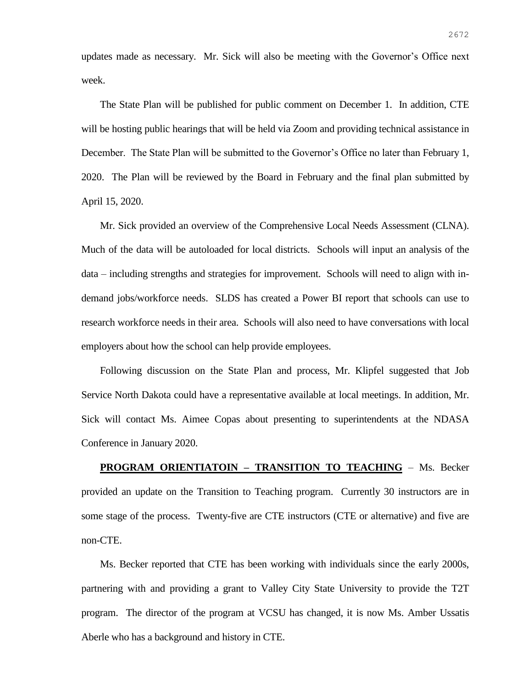updates made as necessary. Mr. Sick will also be meeting with the Governor's Office next week.

The State Plan will be published for public comment on December 1. In addition, CTE will be hosting public hearings that will be held via Zoom and providing technical assistance in December. The State Plan will be submitted to the Governor's Office no later than February 1, 2020. The Plan will be reviewed by the Board in February and the final plan submitted by April 15, 2020.

Mr. Sick provided an overview of the Comprehensive Local Needs Assessment (CLNA). Much of the data will be autoloaded for local districts. Schools will input an analysis of the data – including strengths and strategies for improvement. Schools will need to align with indemand jobs/workforce needs. SLDS has created a Power BI report that schools can use to research workforce needs in their area. Schools will also need to have conversations with local employers about how the school can help provide employees.

Following discussion on the State Plan and process, Mr. Klipfel suggested that Job Service North Dakota could have a representative available at local meetings. In addition, Mr. Sick will contact Ms. Aimee Copas about presenting to superintendents at the NDASA Conference in January 2020.

**PROGRAM ORIENTIATOIN – TRANSITION TO TEACHING** – Ms. Becker provided an update on the Transition to Teaching program. Currently 30 instructors are in some stage of the process. Twenty-five are CTE instructors (CTE or alternative) and five are non-CTE.

Ms. Becker reported that CTE has been working with individuals since the early 2000s, partnering with and providing a grant to Valley City State University to provide the T2T program. The director of the program at VCSU has changed, it is now Ms. Amber Ussatis Aberle who has a background and history in CTE.